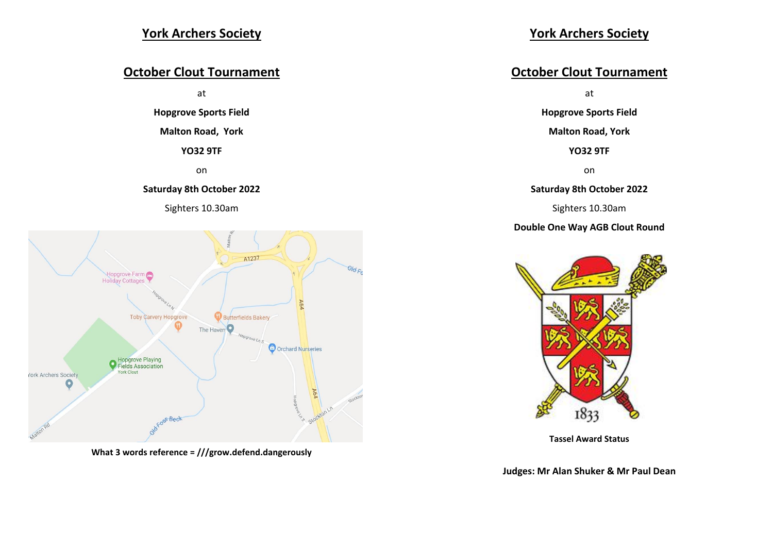## **York Archers Society**

## **October Clout Tournament**

at

**Hopgrove Sports Field**

#### **Malton Road, York**

**YO32 9TF**

on

#### **Saturday 8th October 2022**





**What 3 words reference = ///grow.defend.dangerously**

## **October Clout Tournament**

at

**Hopgrove Sports Field**

**Malton Road, York**

**YO32 9TF**

on

#### **Saturday 8th October 2022**

Sighters 10.30am

#### **Double One Way AGB Clout Round**



**Tassel Award Status**

**Judges: Mr Alan Shuker & Mr Paul Dean**